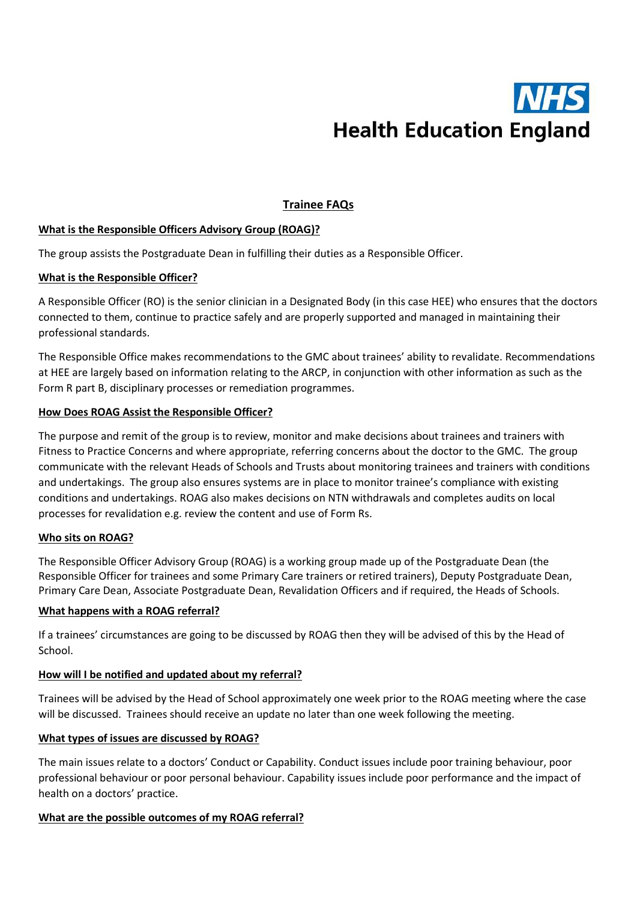

# Trainee FAQs

## What is the Responsible Officers Advisory Group (ROAG)?

The group assists the Postgraduate Dean in fulfilling their duties as a Responsible Officer.

## What is the Responsible Officer?

A Responsible Officer (RO) is the senior clinician in a Designated Body (in this case HEE) who ensures that the doctors connected to them, continue to practice safely and are properly supported and managed in maintaining their professional standards.

The Responsible Office makes recommendations to the GMC about trainees' ability to revalidate. Recommendations at HEE are largely based on information relating to the ARCP, in conjunction with other information as such as the Form R part B, disciplinary processes or remediation programmes.

## How Does ROAG Assist the Responsible Officer?

The purpose and remit of the group is to review, monitor and make decisions about trainees and trainers with Fitness to Practice Concerns and where appropriate, referring concerns about the doctor to the GMC. The group communicate with the relevant Heads of Schools and Trusts about monitoring trainees and trainers with conditions and undertakings. The group also ensures systems are in place to monitor trainee's compliance with existing conditions and undertakings. ROAG also makes decisions on NTN withdrawals and completes audits on local processes for revalidation e.g. review the content and use of Form Rs.

#### Who sits on ROAG?

The Responsible Officer Advisory Group (ROAG) is a working group made up of the Postgraduate Dean (the Responsible Officer for trainees and some Primary Care trainers or retired trainers), Deputy Postgraduate Dean, Primary Care Dean, Associate Postgraduate Dean, Revalidation Officers and if required, the Heads of Schools.

#### What happens with a ROAG referral?

If a trainees' circumstances are going to be discussed by ROAG then they will be advised of this by the Head of School.

#### How will I be notified and updated about my referral?

Trainees will be advised by the Head of School approximately one week prior to the ROAG meeting where the case will be discussed. Trainees should receive an update no later than one week following the meeting.

#### What types of issues are discussed by ROAG?

The main issues relate to a doctors' Conduct or Capability. Conduct issues include poor training behaviour, poor professional behaviour or poor personal behaviour. Capability issues include poor performance and the impact of health on a doctors' practice.

#### What are the possible outcomes of my ROAG referral?